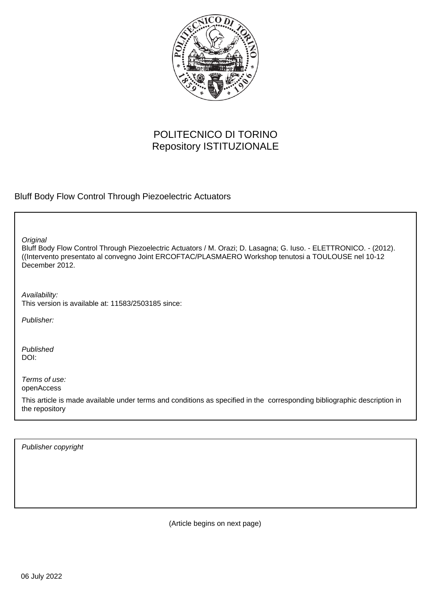

# POLITECNICO DI TORINO Repository ISTITUZIONALE

Bluff Body Flow Control Through Piezoelectric Actuators

**Original** 

Bluff Body Flow Control Through Piezoelectric Actuators / M. Orazi; D. Lasagna; G. Iuso. - ELETTRONICO. - (2012). ((Intervento presentato al convegno Joint ERCOFTAC/PLASMAERO Workshop tenutosi a TOULOUSE nel 10-12 December 2012.

Availability: This version is available at: 11583/2503185 since:

Publisher:

Published DOI:

Terms of use: openAccess

This article is made available under terms and conditions as specified in the corresponding bibliographic description in the repository

Publisher copyright

(Article begins on next page)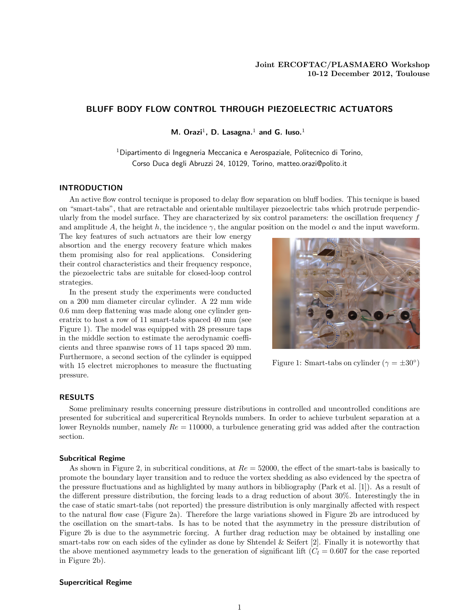## BLUFF BODY FLOW CONTROL THROUGH PIEZOELECTRIC ACTUATORS

M. Orazi<sup>1</sup>, D. Lasagna.<sup>1</sup> and G. luso.<sup>1</sup>

<sup>1</sup> Dipartimento di Ingegneria Meccanica e Aerospaziale, Politecnico di Torino, Corso Duca degli Abruzzi 24, 10129, Torino, matteo.orazi@polito.it

## INTRODUCTION

An active flow control tecnique is proposed to delay flow separation on bluff bodies. This tecnique is based on "smart-tabs", that are retractable and orientable multilayer piezoelectric tabs which protrude perpendicularly from the model surface. They are characterized by six control parameters: the oscillation frequency f and amplitude A, the height h, the incidence  $\gamma$ , the angular position on the model  $\alpha$  and the input waveform.

The key features of such actuators are their low energy absortion and the energy recovery feature which makes them promising also for real applications. Considering their control characteristics and their frequency responce, the piezoelectric tabs are suitable for closed-loop control strategies.

In the present study the experiments were conducted on a 200 mm diameter circular cylinder. A 22 mm wide 0.6 mm deep flattening was made along one cylinder generatrix to host a row of 11 smart-tabs spaced 40 mm (see Figure 1). The model was equipped with 28 pressure taps in the middle section to estimate the aerodynamic coefficients and three spanwise rows of 11 taps spaced 20 mm. Furthermore, a second section of the cylinder is equipped with 15 electret microphones to measure the fluctuating pressure.



Figure 1: Smart-tabs on cylinder  $(\gamma = \pm 30^{\circ})$ 

## RESULTS

Some preliminary results concerning pressure distributions in controlled and uncontrolled conditions are presented for subcritical and supercritical Reynolds numbers. In order to achieve turbulent separation at a lower Reynolds number, namely  $Re = 110000$ , a turbulence generating grid was added after the contraction section.

#### Subcritical Regime

As shown in Figure 2, in subcritical conditions, at  $Re = 52000$ , the effect of the smart-tabs is basically to promote the boundary layer transition and to reduce the vortex shedding as also evidenced by the spectra of the pressure fluctuations and as highlighted by many authors in bibliography (Park et al. [1]). As a result of the different pressure distribution, the forcing leads to a drag reduction of about 30%. Interestingly the in the case of static smart-tabs (not reported) the pressure distribution is only marginally affected with respect to the natural flow case (Figure 2a). Therefore the large variations showed in Figure 2b are introduced by the oscillation on the smart-tabs. Is has to be noted that the asymmetry in the pressure distribution of Figure 2b is due to the asymmetric forcing. A further drag reduction may be obtained by installing one smart-tabs row on each sides of the cylinder as done by Shtendel & Seifert [2]. Finally it is noteworthy that the above mentioned asymmetry leads to the generation of significant lift ( $C_l = 0.607$  for the case reported in Figure 2b).

## Supercritical Regime